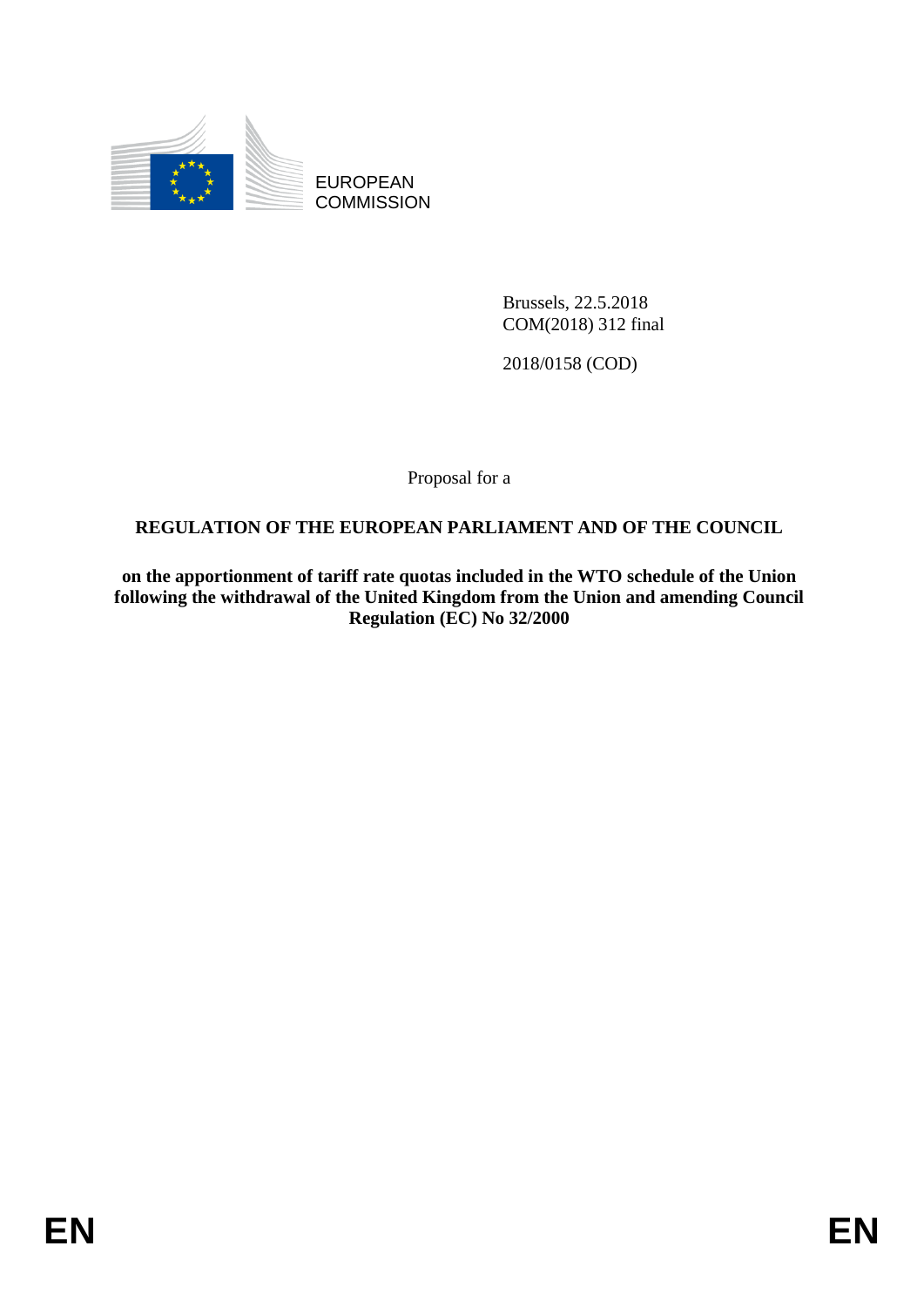

EUROPEAN **COMMISSION** 

> Brussels, 22.5.2018 COM(2018) 312 final

2018/0158 (COD)

Proposal for a

# **REGULATION OF THE EUROPEAN PARLIAMENT AND OF THE COUNCIL**

**on the apportionment of tariff rate quotas included in the WTO schedule of the Union following the withdrawal of the United Kingdom from the Union and amending Council Regulation (EC) No 32/2000**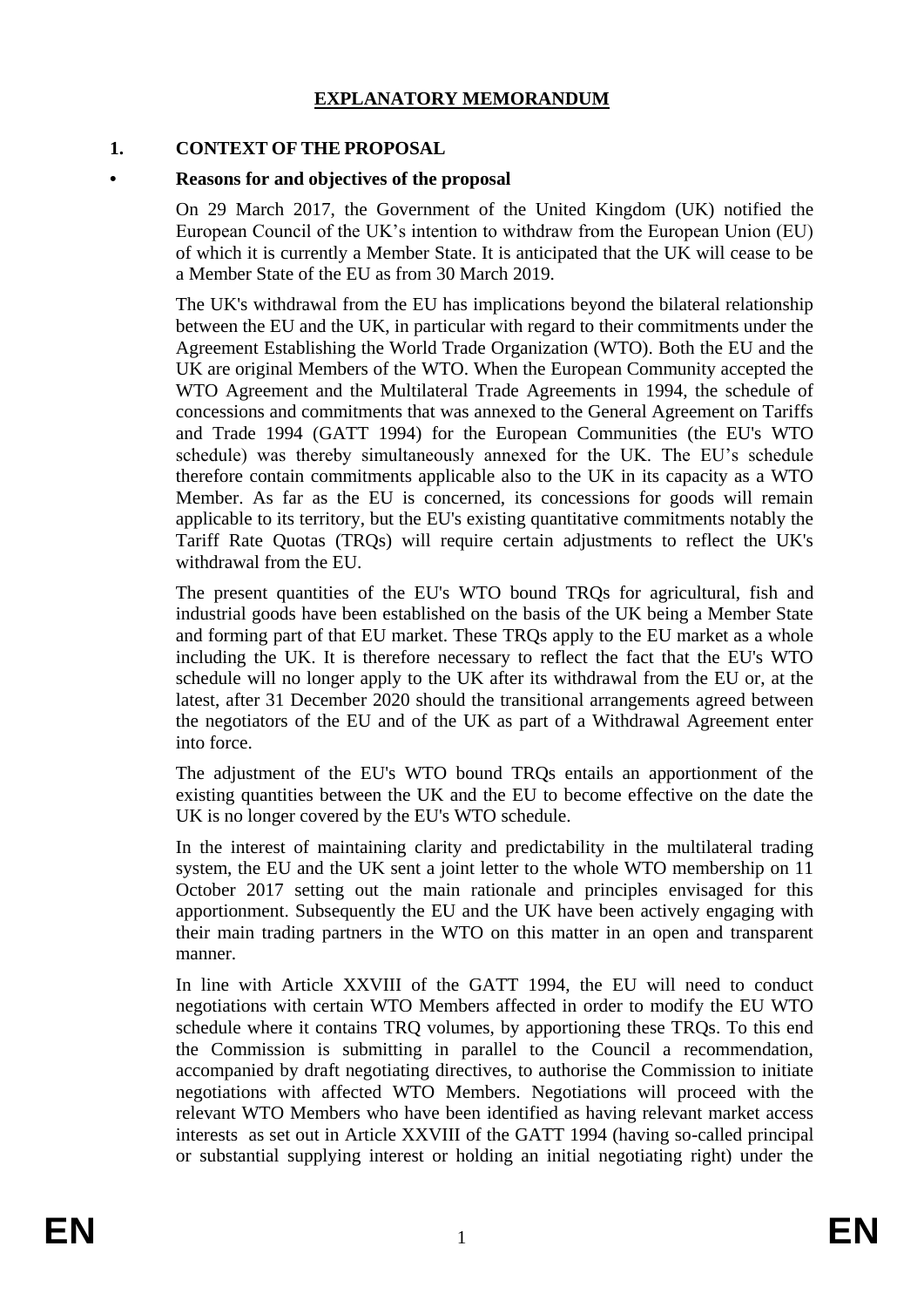## **EXPLANATORY MEMORANDUM**

### **1. CONTEXT OF THE PROPOSAL**

#### **• Reasons for and objectives of the proposal**

On 29 March 2017, the Government of the United Kingdom (UK) notified the European Council of the UK's intention to withdraw from the European Union (EU) of which it is currently a Member State. It is anticipated that the UK will cease to be a Member State of the EU as from 30 March 2019.

The UK's withdrawal from the EU has implications beyond the bilateral relationship between the EU and the UK, in particular with regard to their commitments under the Agreement Establishing the World Trade Organization (WTO). Both the EU and the UK are original Members of the WTO. When the European Community accepted the WTO Agreement and the Multilateral Trade Agreements in 1994, the schedule of concessions and commitments that was annexed to the General Agreement on Tariffs and Trade 1994 (GATT 1994) for the European Communities (the EU's WTO schedule) was thereby simultaneously annexed for the UK. The EU's schedule therefore contain commitments applicable also to the UK in its capacity as a WTO Member. As far as the EU is concerned, its concessions for goods will remain applicable to its territory, but the EU's existing quantitative commitments notably the Tariff Rate Quotas (TRQs) will require certain adjustments to reflect the UK's withdrawal from the EU.

The present quantities of the EU's WTO bound TRQs for agricultural, fish and industrial goods have been established on the basis of the UK being a Member State and forming part of that EU market. These TRQs apply to the EU market as a whole including the UK. It is therefore necessary to reflect the fact that the EU's WTO schedule will no longer apply to the UK after its withdrawal from the EU or, at the latest, after 31 December 2020 should the transitional arrangements agreed between the negotiators of the EU and of the UK as part of a Withdrawal Agreement enter into force.

The adjustment of the EU's WTO bound TRQs entails an apportionment of the existing quantities between the UK and the EU to become effective on the date the UK is no longer covered by the EU's WTO schedule.

In the interest of maintaining clarity and predictability in the multilateral trading system, the EU and the UK sent a joint letter to the whole WTO membership on 11 October 2017 setting out the main rationale and principles envisaged for this apportionment. Subsequently the EU and the UK have been actively engaging with their main trading partners in the WTO on this matter in an open and transparent manner.

In line with Article XXVIII of the GATT 1994, the EU will need to conduct negotiations with certain WTO Members affected in order to modify the EU WTO schedule where it contains TRQ volumes, by apportioning these TRQs. To this end the Commission is submitting in parallel to the Council a recommendation, accompanied by draft negotiating directives, to authorise the Commission to initiate negotiations with affected WTO Members. Negotiations will proceed with the relevant WTO Members who have been identified as having relevant market access interests as set out in Article XXVIII of the GATT 1994 (having so-called principal or substantial supplying interest or holding an initial negotiating right) under the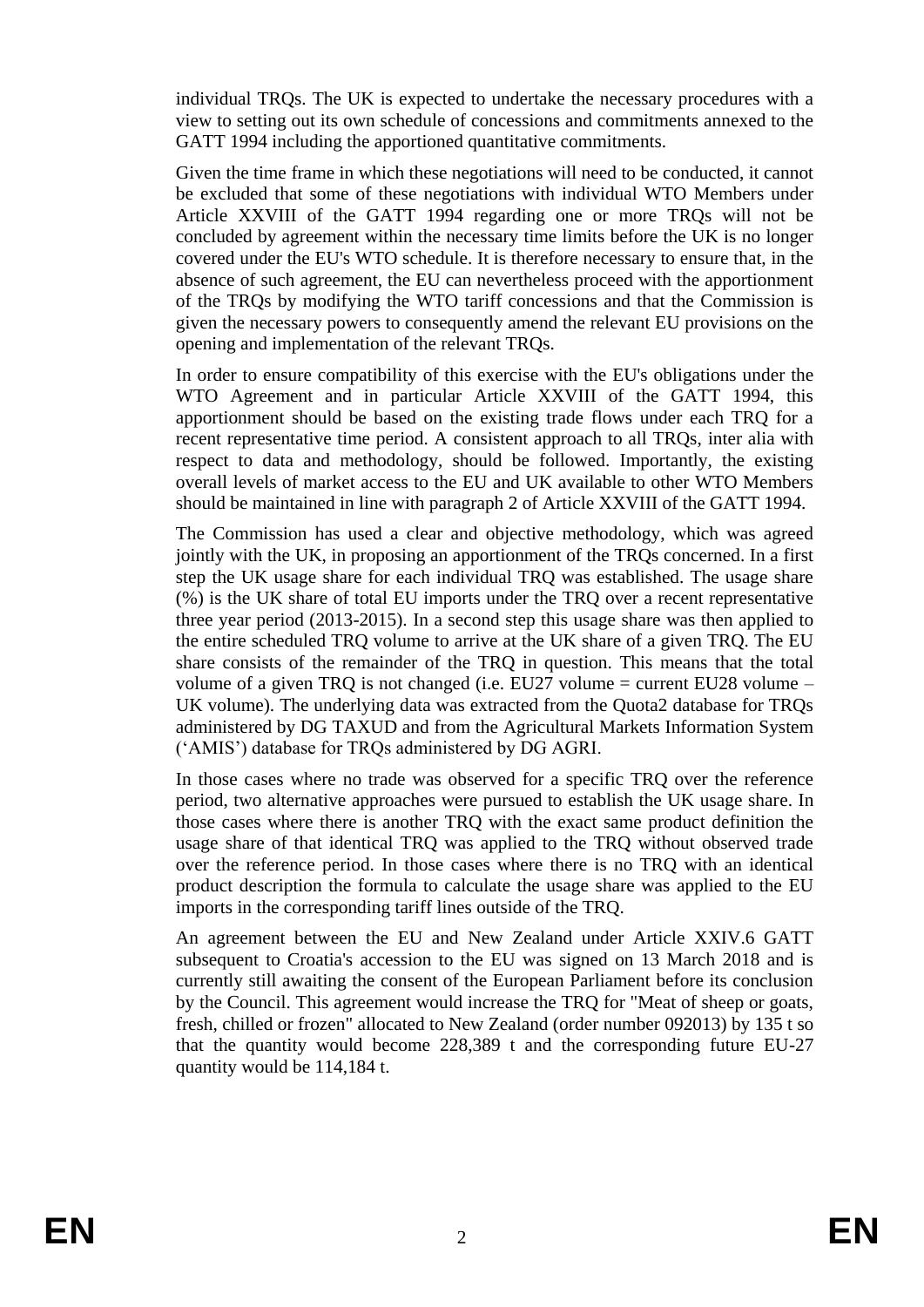individual TRQs. The UK is expected to undertake the necessary procedures with a view to setting out its own schedule of concessions and commitments annexed to the GATT 1994 including the apportioned quantitative commitments.

Given the time frame in which these negotiations will need to be conducted, it cannot be excluded that some of these negotiations with individual WTO Members under Article XXVIII of the GATT 1994 regarding one or more TRQs will not be concluded by agreement within the necessary time limits before the UK is no longer covered under the EU's WTO schedule. It is therefore necessary to ensure that, in the absence of such agreement, the EU can nevertheless proceed with the apportionment of the TRQs by modifying the WTO tariff concessions and that the Commission is given the necessary powers to consequently amend the relevant EU provisions on the opening and implementation of the relevant TRQs.

In order to ensure compatibility of this exercise with the EU's obligations under the WTO Agreement and in particular Article XXVIII of the GATT 1994, this apportionment should be based on the existing trade flows under each TRQ for a recent representative time period. A consistent approach to all TRQs, inter alia with respect to data and methodology, should be followed. Importantly, the existing overall levels of market access to the EU and UK available to other WTO Members should be maintained in line with paragraph 2 of Article XXVIII of the GATT 1994.

The Commission has used a clear and objective methodology, which was agreed jointly with the UK, in proposing an apportionment of the TRQs concerned. In a first step the UK usage share for each individual TRQ was established. The usage share (%) is the UK share of total EU imports under the TRQ over a recent representative three year period (2013-2015). In a second step this usage share was then applied to the entire scheduled TRQ volume to arrive at the UK share of a given TRQ. The EU share consists of the remainder of the TRQ in question. This means that the total volume of a given TRQ is not changed (i.e. EU27 volume = current EU28 volume – UK volume). The underlying data was extracted from the Quota2 database for TRQs administered by DG TAXUD and from the Agricultural Markets Information System ('AMIS') database for TRQs administered by DG AGRI.

In those cases where no trade was observed for a specific TRQ over the reference period, two alternative approaches were pursued to establish the UK usage share. In those cases where there is another TRQ with the exact same product definition the usage share of that identical TRQ was applied to the TRQ without observed trade over the reference period. In those cases where there is no TRQ with an identical product description the formula to calculate the usage share was applied to the EU imports in the corresponding tariff lines outside of the TRQ.

An agreement between the EU and New Zealand under Article XXIV.6 GATT subsequent to Croatia's accession to the EU was signed on 13 March 2018 and is currently still awaiting the consent of the European Parliament before its conclusion by the Council. This agreement would increase the TRQ for "Meat of sheep or goats, fresh, chilled or frozen" allocated to New Zealand (order number 092013) by 135 t so that the quantity would become 228,389 t and the corresponding future EU-27 quantity would be 114,184 t.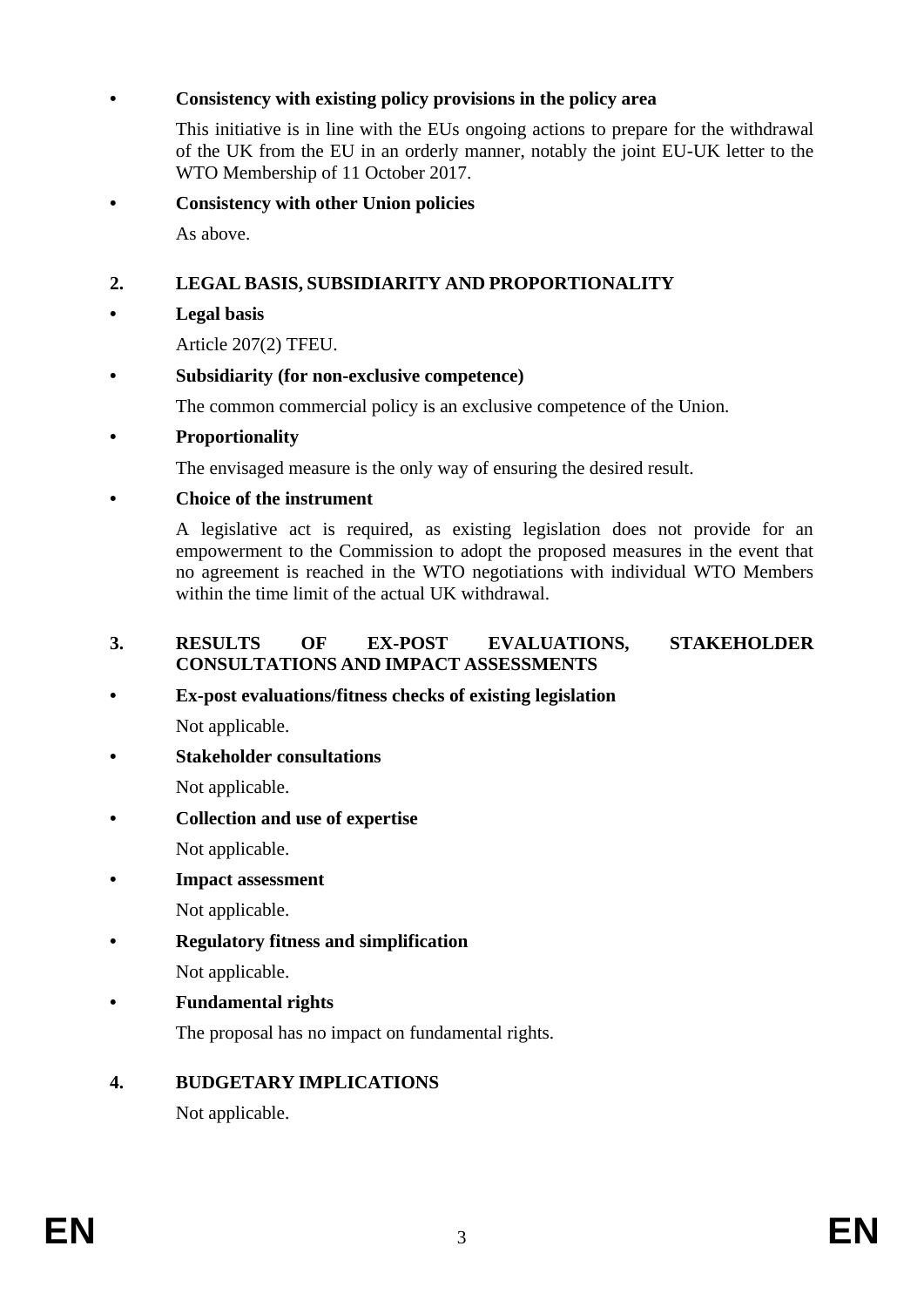## **• Consistency with existing policy provisions in the policy area**

This initiative is in line with the EUs ongoing actions to prepare for the withdrawal of the UK from the EU in an orderly manner, notably the joint EU-UK letter to the WTO Membership of 11 October 2017.

**• Consistency with other Union policies** As above.

# **2. LEGAL BASIS, SUBSIDIARITY AND PROPORTIONALITY**

### **• Legal basis**

Article 207(2) TFEU.

### **• Subsidiarity (for non-exclusive competence)**

The common commercial policy is an exclusive competence of the Union.

### **• Proportionality**

The envisaged measure is the only way of ensuring the desired result.

### **• Choice of the instrument**

A legislative act is required, as existing legislation does not provide for an empowerment to the Commission to adopt the proposed measures in the event that no agreement is reached in the WTO negotiations with individual WTO Members within the time limit of the actual UK withdrawal.

### **3. RESULTS OF EX-POST EVALUATIONS, STAKEHOLDER CONSULTATIONS AND IMPACT ASSESSMENTS**

# **• Ex-post evaluations/fitness checks of existing legislation**

Not applicable.

**• Stakeholder consultations**

Not applicable.

**• Collection and use of expertise**

Not applicable.

**• Impact assessment**

Not applicable.

**• Regulatory fitness and simplification**

Not applicable.

**• Fundamental rights**

The proposal has no impact on fundamental rights.

# **4. BUDGETARY IMPLICATIONS**

Not applicable.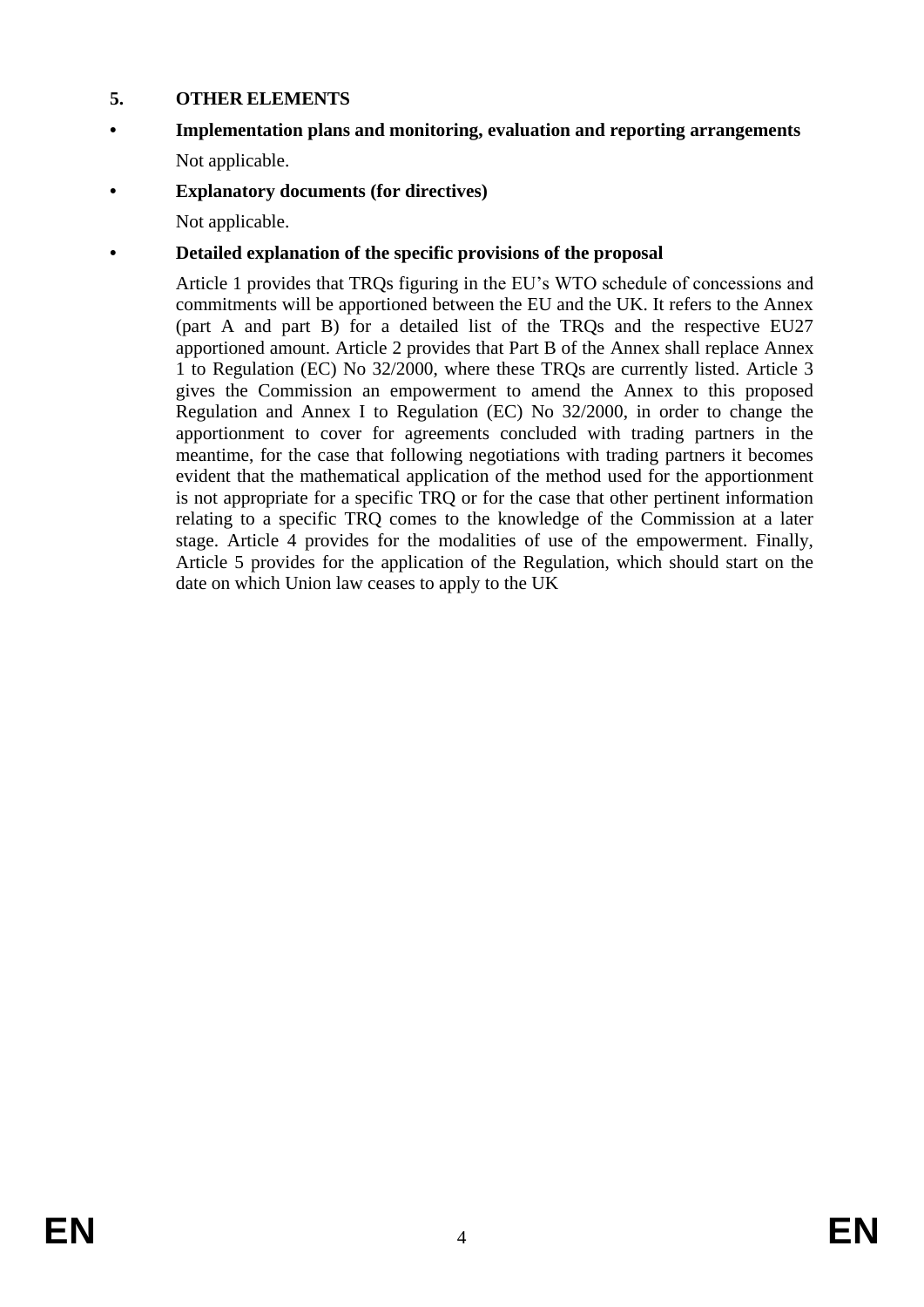### **5. OTHER ELEMENTS**

- **• Implementation plans and monitoring, evaluation and reporting arrangements** Not applicable.
- **• Explanatory documents (for directives)**

Not applicable.

# **• Detailed explanation of the specific provisions of the proposal**

Article 1 provides that TRQs figuring in the EU's WTO schedule of concessions and commitments will be apportioned between the EU and the UK. It refers to the Annex (part A and part B) for a detailed list of the TRQs and the respective EU27 apportioned amount. Article 2 provides that Part B of the Annex shall replace Annex 1 to Regulation (EC) No 32/2000, where these TRQs are currently listed. Article 3 gives the Commission an empowerment to amend the Annex to this proposed Regulation and Annex I to Regulation (EC) No 32/2000, in order to change the apportionment to cover for agreements concluded with trading partners in the meantime, for the case that following negotiations with trading partners it becomes evident that the mathematical application of the method used for the apportionment is not appropriate for a specific TRQ or for the case that other pertinent information relating to a specific TRQ comes to the knowledge of the Commission at a later stage. Article 4 provides for the modalities of use of the empowerment. Finally, Article 5 provides for the application of the Regulation, which should start on the date on which Union law ceases to apply to the UK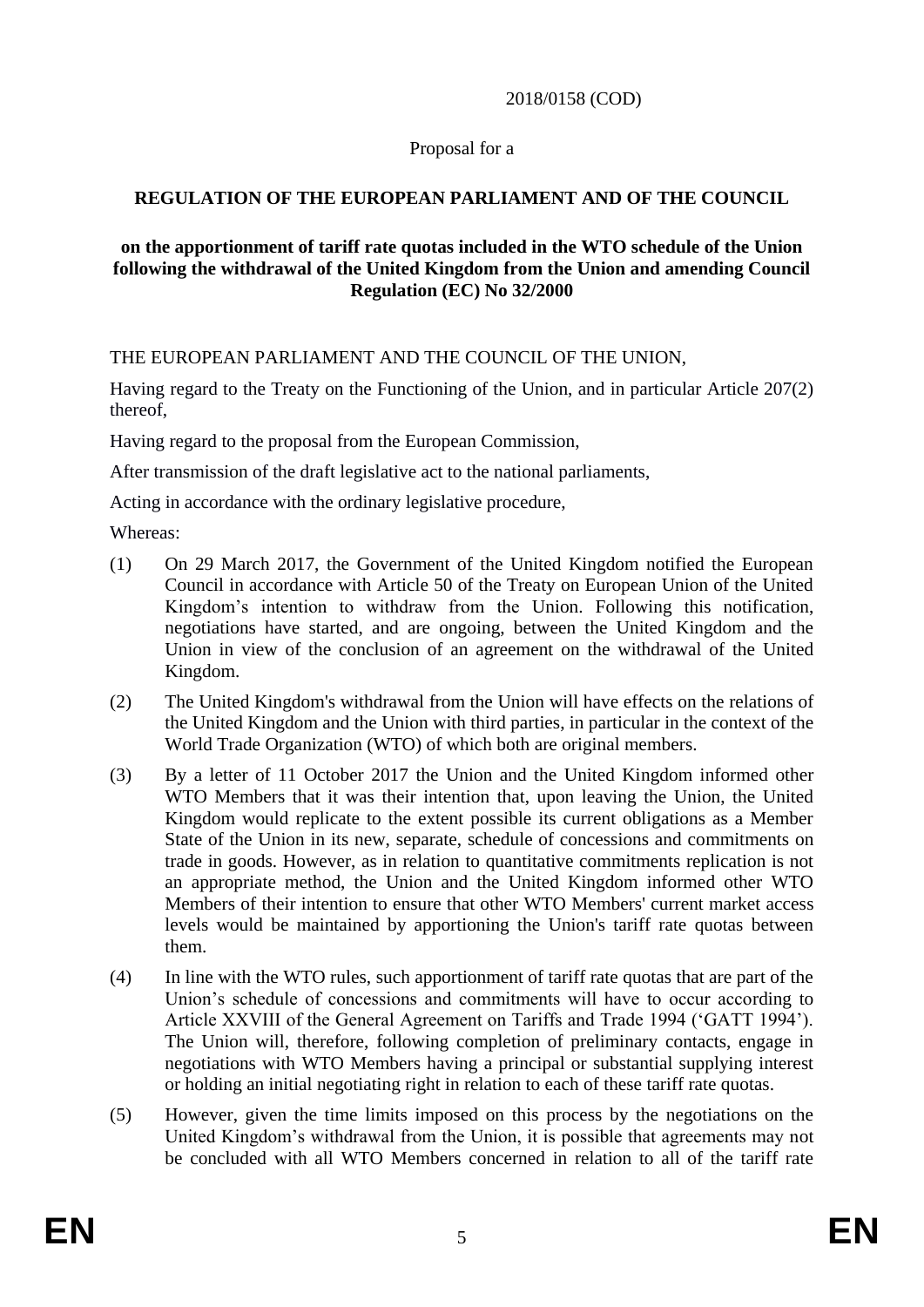#### 2018/0158 (COD)

### Proposal for a

# **REGULATION OF THE EUROPEAN PARLIAMENT AND OF THE COUNCIL**

#### **on the apportionment of tariff rate quotas included in the WTO schedule of the Union following the withdrawal of the United Kingdom from the Union and amending Council Regulation (EC) No 32/2000**

THE EUROPEAN PARLIAMENT AND THE COUNCIL OF THE UNION,

Having regard to the Treaty on the Functioning of the Union, and in particular Article 207(2) thereof,

Having regard to the proposal from the European Commission,

After transmission of the draft legislative act to the national parliaments,

Acting in accordance with the ordinary legislative procedure,

Whereas:

- (1) On 29 March 2017, the Government of the United Kingdom notified the European Council in accordance with Article 50 of the Treaty on European Union of the United Kingdom's intention to withdraw from the Union. Following this notification, negotiations have started, and are ongoing, between the United Kingdom and the Union in view of the conclusion of an agreement on the withdrawal of the United Kingdom.
- (2) The United Kingdom's withdrawal from the Union will have effects on the relations of the United Kingdom and the Union with third parties, in particular in the context of the World Trade Organization (WTO) of which both are original members.
- (3) By a letter of 11 October 2017 the Union and the United Kingdom informed other WTO Members that it was their intention that, upon leaving the Union, the United Kingdom would replicate to the extent possible its current obligations as a Member State of the Union in its new, separate, schedule of concessions and commitments on trade in goods. However, as in relation to quantitative commitments replication is not an appropriate method, the Union and the United Kingdom informed other WTO Members of their intention to ensure that other WTO Members' current market access levels would be maintained by apportioning the Union's tariff rate quotas between them.
- (4) In line with the WTO rules, such apportionment of tariff rate quotas that are part of the Union's schedule of concessions and commitments will have to occur according to Article XXVIII of the General Agreement on Tariffs and Trade 1994 ('GATT 1994'). The Union will, therefore, following completion of preliminary contacts, engage in negotiations with WTO Members having a principal or substantial supplying interest or holding an initial negotiating right in relation to each of these tariff rate quotas.
- (5) However, given the time limits imposed on this process by the negotiations on the United Kingdom's withdrawal from the Union, it is possible that agreements may not be concluded with all WTO Members concerned in relation to all of the tariff rate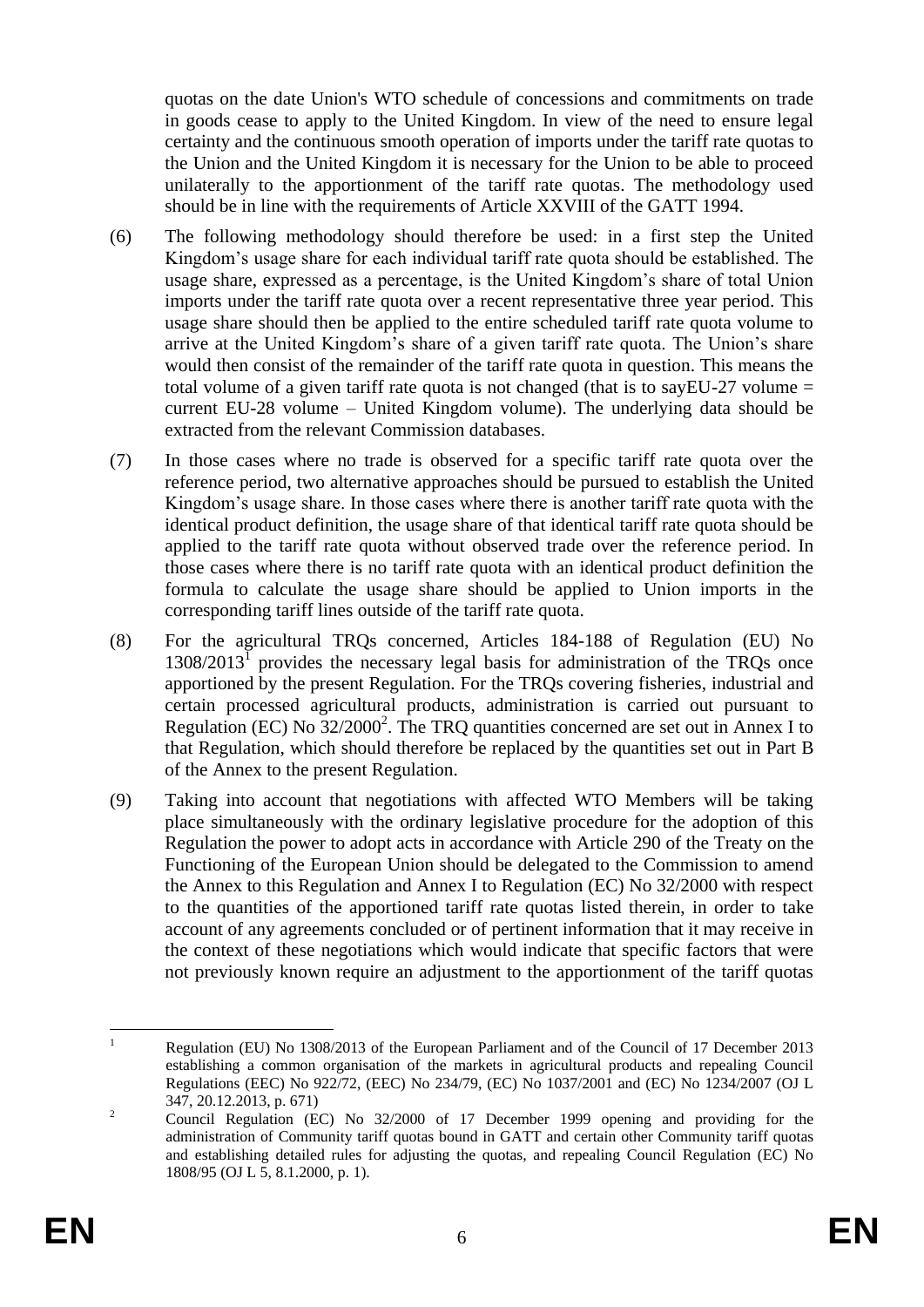quotas on the date Union's WTO schedule of concessions and commitments on trade in goods cease to apply to the United Kingdom. In view of the need to ensure legal certainty and the continuous smooth operation of imports under the tariff rate quotas to the Union and the United Kingdom it is necessary for the Union to be able to proceed unilaterally to the apportionment of the tariff rate quotas. The methodology used should be in line with the requirements of Article XXVIII of the GATT 1994.

- (6) The following methodology should therefore be used: in a first step the United Kingdom's usage share for each individual tariff rate quota should be established. The usage share, expressed as a percentage, is the United Kingdom's share of total Union imports under the tariff rate quota over a recent representative three year period. This usage share should then be applied to the entire scheduled tariff rate quota volume to arrive at the United Kingdom's share of a given tariff rate quota. The Union's share would then consist of the remainder of the tariff rate quota in question. This means the total volume of a given tariff rate quota is not changed (that is to say EU-27 volume  $=$ current EU-28 volume – United Kingdom volume). The underlying data should be extracted from the relevant Commission databases.
- (7) In those cases where no trade is observed for a specific tariff rate quota over the reference period, two alternative approaches should be pursued to establish the United Kingdom's usage share. In those cases where there is another tariff rate quota with the identical product definition, the usage share of that identical tariff rate quota should be applied to the tariff rate quota without observed trade over the reference period. In those cases where there is no tariff rate quota with an identical product definition the formula to calculate the usage share should be applied to Union imports in the corresponding tariff lines outside of the tariff rate quota.
- (8) For the agricultural TRQs concerned, Articles 184-188 of Regulation (EU) No  $1308/2013<sup>T</sup>$  provides the necessary legal basis for administration of the TRQs once apportioned by the present Regulation. For the TRQs covering fisheries, industrial and certain processed agricultural products, administration is carried out pursuant to Regulation (EC) No  $32/2000^2$ . The TRQ quantities concerned are set out in Annex I to that Regulation, which should therefore be replaced by the quantities set out in Part B of the Annex to the present Regulation.
- (9) Taking into account that negotiations with affected WTO Members will be taking place simultaneously with the ordinary legislative procedure for the adoption of this Regulation the power to adopt acts in accordance with Article 290 of the Treaty on the Functioning of the European Union should be delegated to the Commission to amend the Annex to this Regulation and Annex I to Regulation (EC) No 32/2000 with respect to the quantities of the apportioned tariff rate quotas listed therein, in order to take account of any agreements concluded or of pertinent information that it may receive in the context of these negotiations which would indicate that specific factors that were not previously known require an adjustment to the apportionment of the tariff quotas

 $\mathbf{1}$ <sup>1</sup> Regulation (EU) No 1308/2013 of the European Parliament and of the Council of 17 December 2013 establishing a common organisation of the markets in agricultural products and repealing Council Regulations (EEC) No 922/72, (EEC) No 234/79, (EC) No 1037/2001 and (EC) No 1234/2007 (OJ L 347, 20.12.2013, p. 671)

<sup>&</sup>lt;sup>2</sup> Council Regulation (EC) No 32/2000 of 17 December 1999 opening and providing for the administration of Community tariff quotas bound in GATT and certain other Community tariff quotas and establishing detailed rules for adjusting the quotas, and repealing Council Regulation (EC) No 1808/95 (OJ L 5, 8.1.2000, p. 1).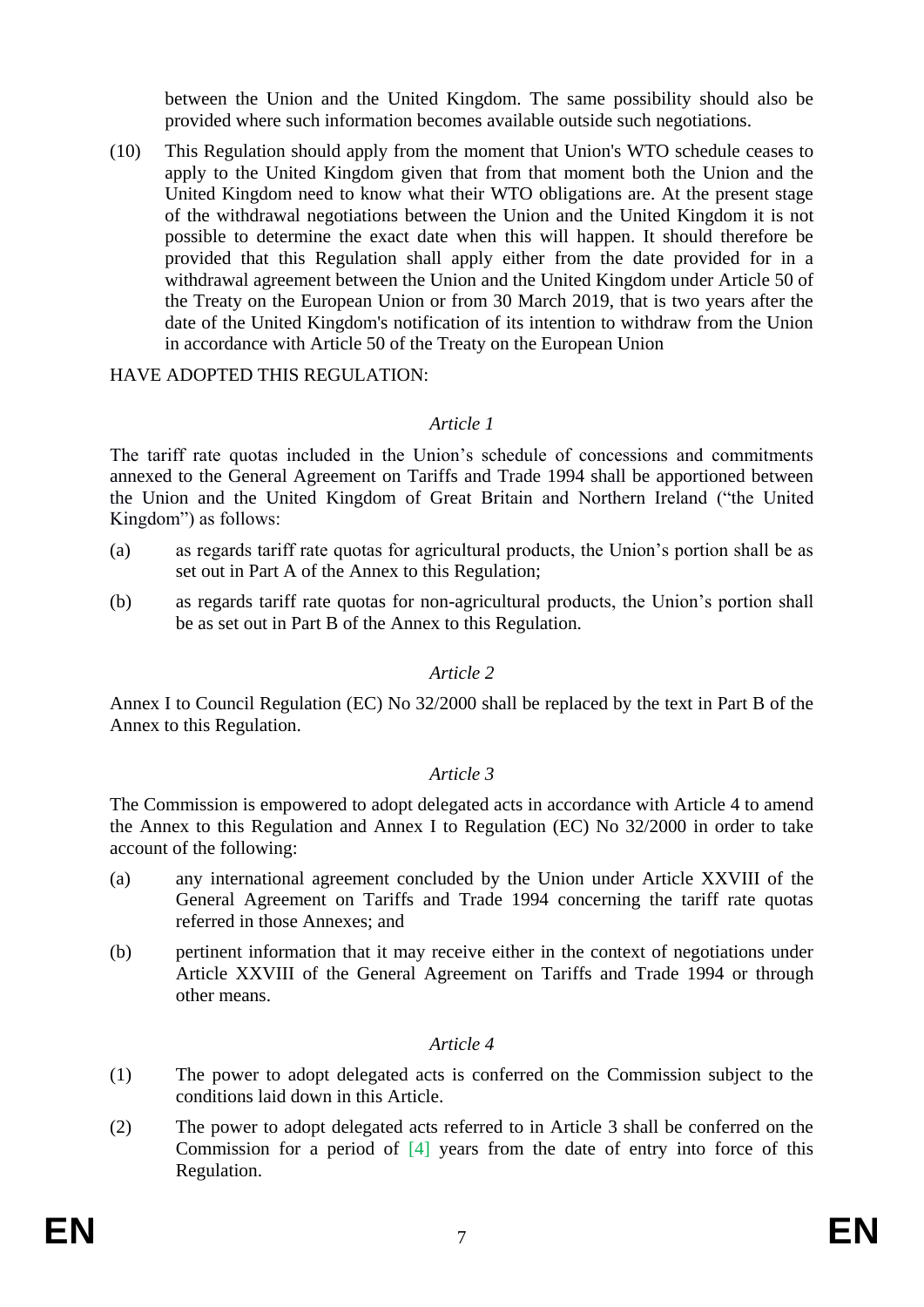between the Union and the United Kingdom. The same possibility should also be provided where such information becomes available outside such negotiations.

(10) This Regulation should apply from the moment that Union's WTO schedule ceases to apply to the United Kingdom given that from that moment both the Union and the United Kingdom need to know what their WTO obligations are. At the present stage of the withdrawal negotiations between the Union and the United Kingdom it is not possible to determine the exact date when this will happen. It should therefore be provided that this Regulation shall apply either from the date provided for in a withdrawal agreement between the Union and the United Kingdom under Article 50 of the Treaty on the European Union or from 30 March 2019, that is two years after the date of the United Kingdom's notification of its intention to withdraw from the Union in accordance with Article 50 of the Treaty on the European Union

HAVE ADOPTED THIS REGULATION:

### *Article 1*

The tariff rate quotas included in the Union's schedule of concessions and commitments annexed to the General Agreement on Tariffs and Trade 1994 shall be apportioned between the Union and the United Kingdom of Great Britain and Northern Ireland ("the United Kingdom") as follows:

- (a) as regards tariff rate quotas for agricultural products, the Union's portion shall be as set out in Part A of the Annex to this Regulation;
- (b) as regards tariff rate quotas for non-agricultural products, the Union's portion shall be as set out in Part B of the Annex to this Regulation.

# *Article 2*

Annex I to Council Regulation (EC) No 32/2000 shall be replaced by the text in Part B of the Annex to this Regulation.

#### *Article 3*

The Commission is empowered to adopt delegated acts in accordance with Article 4 to amend the Annex to this Regulation and Annex I to Regulation (EC) No 32/2000 in order to take account of the following:

- (a) any international agreement concluded by the Union under Article XXVIII of the General Agreement on Tariffs and Trade 1994 concerning the tariff rate quotas referred in those Annexes; and
- (b) pertinent information that it may receive either in the context of negotiations under Article XXVIII of the General Agreement on Tariffs and Trade 1994 or through other means.

# *Article 4*

- (1) The power to adopt delegated acts is conferred on the Commission subject to the conditions laid down in this Article.
- (2) The power to adopt delegated acts referred to in Article 3 shall be conferred on the Commission for a period of [4] years from the date of entry into force of this Regulation.